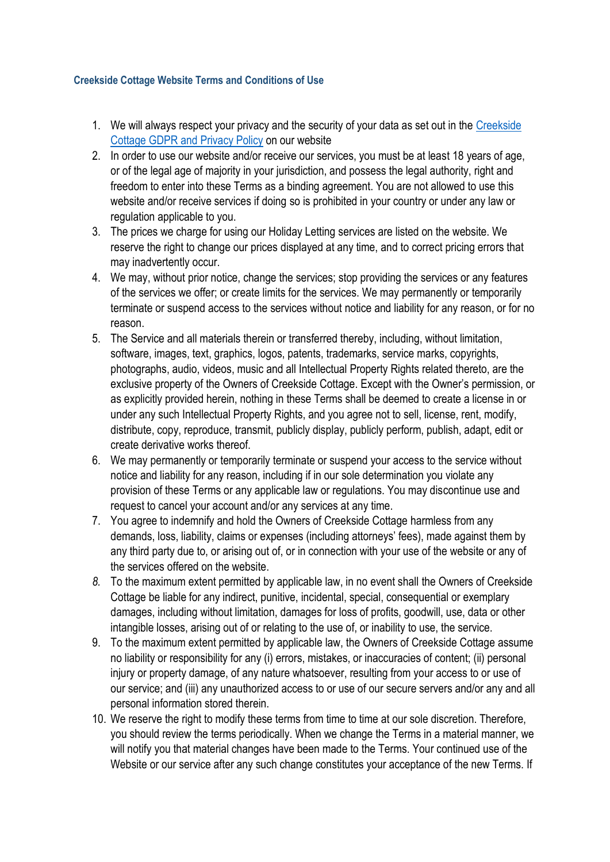## **Creekside Cottage Website Terms and Conditions of Use**

- 1. We will always respect your privacy and the security of your data as set out in the [Creekside](https://d8f038b9-ee74-4933-9226-7363721df7bf.usrfiles.com/ugd/d8f038_d2f2ff55b587445cbda6fb4571436f5c.pdf)  [Cottage GDPR and Privacy Policy](https://d8f038b9-ee74-4933-9226-7363721df7bf.usrfiles.com/ugd/d8f038_d2f2ff55b587445cbda6fb4571436f5c.pdf) on our website
- 2. In order to use our website and/or receive our services, you must be at least 18 years of age, or of the legal age of majority in your jurisdiction, and possess the legal authority, right and freedom to enter into these Terms as a binding agreement. You are not allowed to use this website and/or receive services if doing so is prohibited in your country or under any law or regulation applicable to you.
- 3. The prices we charge for using our Holiday Letting services are listed on the website. We reserve the right to change our prices displayed at any time, and to correct pricing errors that may inadvertently occur.
- 4. We may, without prior notice, change the services; stop providing the services or any features of the services we offer; or create limits for the services. We may permanently or temporarily terminate or suspend access to the services without notice and liability for any reason, or for no reason.
- 5. The Service and all materials therein or transferred thereby, including, without limitation, software, images, text, graphics, logos, patents, trademarks, service marks, copyrights, photographs, audio, videos, music and all Intellectual Property Rights related thereto, are the exclusive property of the Owners of Creekside Cottage. Except with the Owner's permission, or as explicitly provided herein, nothing in these Terms shall be deemed to create a license in or under any such Intellectual Property Rights, and you agree not to sell, license, rent, modify, distribute, copy, reproduce, transmit, publicly display, publicly perform, publish, adapt, edit or create derivative works thereof.
- 6. We may permanently or temporarily terminate or suspend your access to the service without notice and liability for any reason, including if in our sole determination you violate any provision of these Terms or any applicable law or regulations. You may discontinue use and request to cancel your account and/or any services at any time.
- 7. You agree to indemnify and hold the Owners of Creekside Cottage harmless from any demands, loss, liability, claims or expenses (including attorneys' fees), made against them by any third party due to, or arising out of, or in connection with your use of the website or any of the services offered on the website.
- *8.* To the maximum extent permitted by applicable law, in no event shall the Owners of Creekside Cottage be liable for any indirect, punitive, incidental, special, consequential or exemplary damages, including without limitation, damages for loss of profits, goodwill, use, data or other intangible losses, arising out of or relating to the use of, or inability to use, the service.
- 9. To the maximum extent permitted by applicable law, the Owners of Creekside Cottage assume no liability or responsibility for any (i) errors, mistakes, or inaccuracies of content; (ii) personal injury or property damage, of any nature whatsoever, resulting from your access to or use of our service; and (iii) any unauthorized access to or use of our secure servers and/or any and all personal information stored therein.
- 10. We reserve the right to modify these terms from time to time at our sole discretion. Therefore, you should review the terms periodically. When we change the Terms in a material manner, we will notify you that material changes have been made to the Terms. Your continued use of the Website or our service after any such change constitutes your acceptance of the new Terms. If